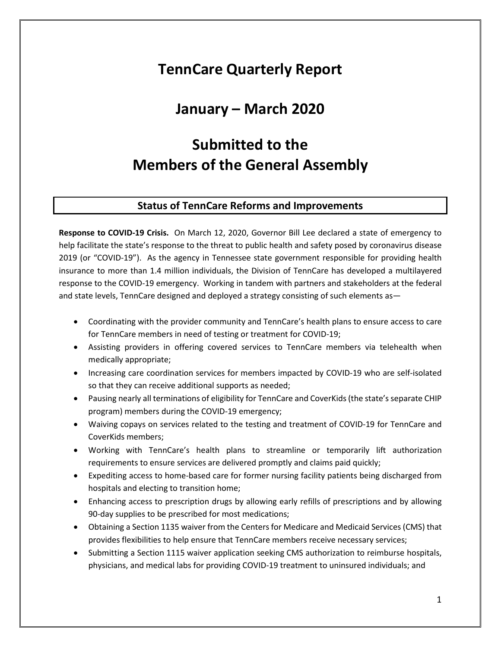# **TennCare Quarterly Report**

## **January – March 2020**

# **Submitted to the Members of the General Assembly**

#### **Status of TennCare Reforms and Improvements**

**Response to COVID-19 Crisis.** On March 12, 2020, Governor Bill Lee declared a state of emergency to help facilitate the state's response to the threat to public health and safety posed by coronavirus disease 2019 (or "COVID-19"). As the agency in Tennessee state government responsible for providing health insurance to more than 1.4 million individuals, the Division of TennCare has developed a multilayered response to the COVID-19 emergency. Working in tandem with partners and stakeholders at the federal and state levels, TennCare designed and deployed a strategy consisting of such elements as—

- Coordinating with the provider community and TennCare's health plans to ensure access to care for TennCare members in need of testing or treatment for COVID-19;
- Assisting providers in offering covered services to TennCare members via telehealth when medically appropriate;
- Increasing care coordination services for members impacted by COVID-19 who are self-isolated so that they can receive additional supports as needed;
- Pausing nearly all terminations of eligibility for TennCare and CoverKids (the state's separate CHIP program) members during the COVID-19 emergency;
- Waiving copays on services related to the testing and treatment of COVID-19 for TennCare and CoverKids members;
- Working with TennCare's health plans to streamline or temporarily lift authorization requirements to ensure services are delivered promptly and claims paid quickly;
- Expediting access to home-based care for former nursing facility patients being discharged from hospitals and electing to transition home;
- Enhancing access to prescription drugs by allowing early refills of prescriptions and by allowing 90-day supplies to be prescribed for most medications;
- Obtaining a Section 1135 waiver from the Centers for Medicare and Medicaid Services (CMS) that provides flexibilities to help ensure that TennCare members receive necessary services;
- Submitting a Section 1115 waiver application seeking CMS authorization to reimburse hospitals, physicians, and medical labs for providing COVID-19 treatment to uninsured individuals; and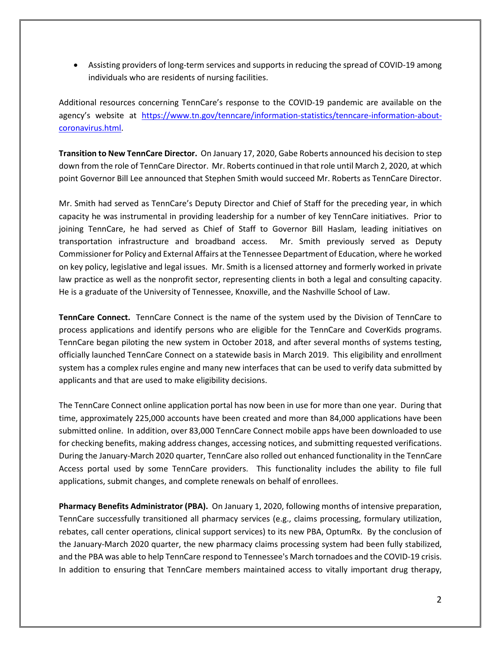• Assisting providers of long-term services and supports in reducing the spread of COVID-19 among individuals who are residents of nursing facilities.

Additional resources concerning TennCare's response to the COVID-19 pandemic are available on the agency's website at [https://www.tn.gov/tenncare/information-statistics/tenncare-information-about](https://www.tn.gov/tenncare/information-statistics/tenncare-information-about-coronavirus.html)[coronavirus.html.](https://www.tn.gov/tenncare/information-statistics/tenncare-information-about-coronavirus.html)

**Transition to New TennCare Director.** On January 17, 2020, Gabe Roberts announced his decision to step down from the role of TennCare Director. Mr. Roberts continued in that role until March 2, 2020, at which point Governor Bill Lee announced that Stephen Smith would succeed Mr. Roberts as TennCare Director.

Mr. Smith had served as TennCare's Deputy Director and Chief of Staff for the preceding year, in which capacity he was instrumental in providing leadership for a number of key TennCare initiatives. Prior to joining TennCare, he had served as Chief of Staff to Governor Bill Haslam, leading initiatives on transportation infrastructure and broadband access. Mr. Smith previously served as Deputy Commissioner for Policy and External Affairs at the Tennessee Department of Education, where he worked on key policy, legislative and legal issues. Mr. Smith is a licensed attorney and formerly worked in private law practice as well as the nonprofit sector, representing clients in both a legal and consulting capacity. He is a graduate of the University of Tennessee, Knoxville, and the Nashville School of Law.

**TennCare Connect.** TennCare Connect is the name of the system used by the Division of TennCare to process applications and identify persons who are eligible for the TennCare and CoverKids programs. TennCare began piloting the new system in October 2018, and after several months of systems testing, officially launched TennCare Connect on a statewide basis in March 2019. This eligibility and enrollment system has a complex rules engine and many new interfaces that can be used to verify data submitted by applicants and that are used to make eligibility decisions.

The TennCare Connect online application portal has now been in use for more than one year. During that time, approximately 225,000 accounts have been created and more than 84,000 applications have been submitted online. In addition, over 83,000 TennCare Connect mobile apps have been downloaded to use for checking benefits, making address changes, accessing notices, and submitting requested verifications. During the January-March 2020 quarter, TennCare also rolled out enhanced functionality in the TennCare Access portal used by some TennCare providers. This functionality includes the ability to file full applications, submit changes, and complete renewals on behalf of enrollees.

**Pharmacy Benefits Administrator (PBA).** On January 1, 2020, following months of intensive preparation, TennCare successfully transitioned all pharmacy services (e.g., claims processing, formulary utilization, rebates, call center operations, clinical support services) to its new PBA, OptumRx. By the conclusion of the January-March 2020 quarter, the new pharmacy claims processing system had been fully stabilized, and the PBA was able to help TennCare respond to Tennessee's March tornadoes and the COVID-19 crisis. In addition to ensuring that TennCare members maintained access to vitally important drug therapy,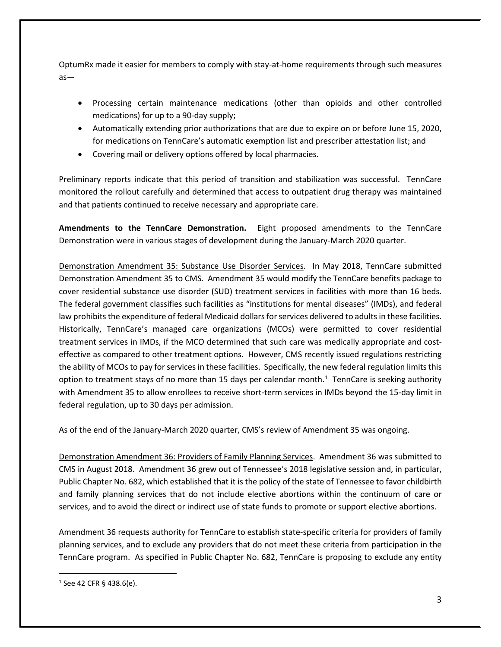OptumRx made it easier for members to comply with stay-at-home requirements through such measures as—

- Processing certain maintenance medications (other than opioids and other controlled medications) for up to a 90-day supply;
- Automatically extending prior authorizations that are due to expire on or before June 15, 2020, for medications on TennCare's automatic exemption list and prescriber attestation list; and
- Covering mail or delivery options offered by local pharmacies.

Preliminary reports indicate that this period of transition and stabilization was successful. TennCare monitored the rollout carefully and determined that access to outpatient drug therapy was maintained and that patients continued to receive necessary and appropriate care.

**Amendments to the TennCare Demonstration.** Eight proposed amendments to the TennCare Demonstration were in various stages of development during the January-March 2020 quarter.

Demonstration Amendment 35: Substance Use Disorder Services. In May 2018, TennCare submitted Demonstration Amendment 35 to CMS. Amendment 35 would modify the TennCare benefits package to cover residential substance use disorder (SUD) treatment services in facilities with more than 16 beds. The federal government classifies such facilities as "institutions for mental diseases" (IMDs), and federal law prohibits the expenditure of federal Medicaid dollars for services delivered to adults in these facilities. Historically, TennCare's managed care organizations (MCOs) were permitted to cover residential treatment services in IMDs, if the MCO determined that such care was medically appropriate and costeffective as compared to other treatment options. However, CMS recently issued regulations restricting the ability of MCOs to pay for services in these facilities. Specifically, the new federal regulation limits this option to treatment stays of no more than [1](#page-2-0)5 days per calendar month.<sup>1</sup> TennCare is seeking authority with Amendment 35 to allow enrollees to receive short-term services in IMDs beyond the 15-day limit in federal regulation, up to 30 days per admission.

As of the end of the January-March 2020 quarter, CMS's review of Amendment 35 was ongoing.

Demonstration Amendment 36: Providers of Family Planning Services. Amendment 36 was submitted to CMS in August 2018. Amendment 36 grew out of Tennessee's 2018 legislative session and, in particular, Public Chapter No. 682, which established that it is the policy of the state of Tennessee to favor childbirth and family planning services that do not include elective abortions within the continuum of care or services, and to avoid the direct or indirect use of state funds to promote or support elective abortions.

Amendment 36 requests authority for TennCare to establish state-specific criteria for providers of family planning services, and to exclude any providers that do not meet these criteria from participation in the TennCare program. As specified in Public Chapter No. 682, TennCare is proposing to exclude any entity

<span id="page-2-0"></span> $1$  See 42 CFR § 438.6(e).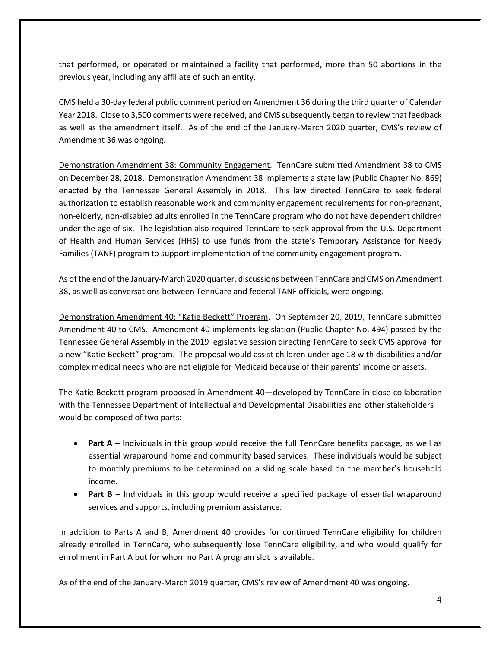that performed, or operated or maintained a facility that performed, more than 50 abortions in the previous year, including any affiliate of such an entity.

CMS held a 30-day federal public comment period on Amendment 36 during the third quarter of Calendar Year 2018. Close to 3,500 comments were received, and CMS subsequently began to review that feedback as well as the amendment itself. As of the end of the January-March 2020 quarter, CMS's review of Amendment 36 was ongoing.

Demonstration Amendment 38: Community Engagement. TennCare submitted Amendment 38 to CMS on December 28, 2018. Demonstration Amendment 38 implements a state law (Public Chapter No. 869) enacted by the Tennessee General Assembly in 2018. This law directed TennCare to seek federal authorization to establish reasonable work and community engagement requirements for non-pregnant, non-elderly, non-disabled adults enrolled in the TennCare program who do not have dependent children under the age of six. The legislation also required TennCare to seek approval from the U.S. Department of Health and Human Services (HHS) to use funds from the state's Temporary Assistance for Needy Families (TANF) program to support implementation of the community engagement program.

As of the end of the January-March 2020 quarter, discussions between TennCare and CMS on Amendment 38, as well as conversations between TennCare and federal TANF officials, were ongoing.

Demonstration Amendment 40: "Katie Beckett" Program. On September 20, 2019, TennCare submitted Amendment 40 to CMS. Amendment 40 implements legislation (Public Chapter No. 494) passed by the Tennessee General Assembly in the 2019 legislative session directing TennCare to seek CMS approval for a new "Katie Beckett" program. The proposal would assist children under age 18 with disabilities and/or complex medical needs who are not eligible for Medicaid because of their parents' income or assets.

The Katie Beckett program proposed in Amendment 40—developed by TennCare in close collaboration with the Tennessee Department of Intellectual and Developmental Disabilities and other stakeholders would be composed of two parts:

- **Part A** Individuals in this group would receive the full TennCare benefits package, as well as essential wraparound home and community based services. These individuals would be subject to monthly premiums to be determined on a sliding scale based on the member's household income.
- **Part B** Individuals in this group would receive a specified package of essential wraparound services and supports, including premium assistance.

In addition to Parts A and B, Amendment 40 provides for continued TennCare eligibility for children already enrolled in TennCare, who subsequently lose TennCare eligibility, and who would qualify for enrollment in Part A but for whom no Part A program slot is available.

As of the end of the January-March 2019 quarter, CMS's review of Amendment 40 was ongoing.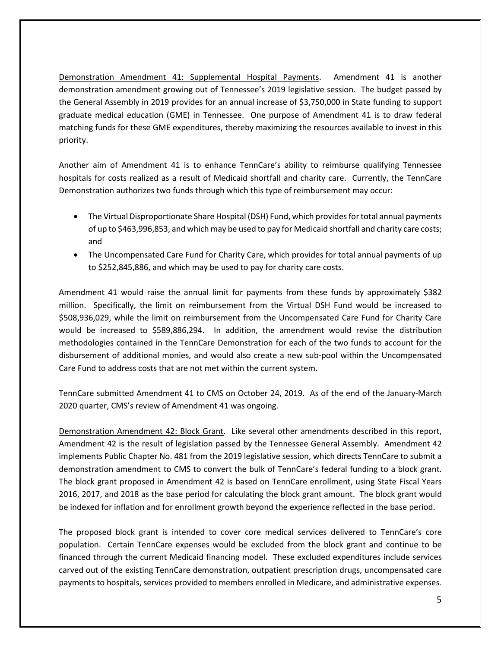Demonstration Amendment 41: Supplemental Hospital Payments. Amendment 41 is another demonstration amendment growing out of Tennessee's 2019 legislative session. The budget passed by the General Assembly in 2019 provides for an annual increase of \$3,750,000 in State funding to support graduate medical education (GME) in Tennessee. One purpose of Amendment 41 is to draw federal matching funds for these GME expenditures, thereby maximizing the resources available to invest in this priority.

Another aim of Amendment 41 is to enhance TennCare's ability to reimburse qualifying Tennessee hospitals for costs realized as a result of Medicaid shortfall and charity care. Currently, the TennCare Demonstration authorizes two funds through which this type of reimbursement may occur:

- The Virtual Disproportionate Share Hospital (DSH) Fund, which provides for total annual payments of up to \$463,996,853, and which may be used to pay for Medicaid shortfall and charity care costs; and
- The Uncompensated Care Fund for Charity Care, which provides for total annual payments of up to \$252,845,886, and which may be used to pay for charity care costs.

Amendment 41 would raise the annual limit for payments from these funds by approximately \$382 million. Specifically, the limit on reimbursement from the Virtual DSH Fund would be increased to \$508,936,029, while the limit on reimbursement from the Uncompensated Care Fund for Charity Care would be increased to \$589,886,294. In addition, the amendment would revise the distribution methodologies contained in the TennCare Demonstration for each of the two funds to account for the disbursement of additional monies, and would also create a new sub-pool within the Uncompensated Care Fund to address costs that are not met within the current system.

TennCare submitted Amendment 41 to CMS on October 24, 2019. As of the end of the January-March 2020 quarter, CMS's review of Amendment 41 was ongoing.

Demonstration Amendment 42: Block Grant. Like several other amendments described in this report, Amendment 42 is the result of legislation passed by the Tennessee General Assembly. Amendment 42 implements Public Chapter No. 481 from the 2019 legislative session, which directs TennCare to submit a demonstration amendment to CMS to convert the bulk of TennCare's federal funding to a block grant. The block grant proposed in Amendment 42 is based on TennCare enrollment, using State Fiscal Years 2016, 2017, and 2018 as the base period for calculating the block grant amount. The block grant would be indexed for inflation and for enrollment growth beyond the experience reflected in the base period.

The proposed block grant is intended to cover core medical services delivered to TennCare's core population. Certain TennCare expenses would be excluded from the block grant and continue to be financed through the current Medicaid financing model. These excluded expenditures include services carved out of the existing TennCare demonstration, outpatient prescription drugs, uncompensated care payments to hospitals, services provided to members enrolled in Medicare, and administrative expenses.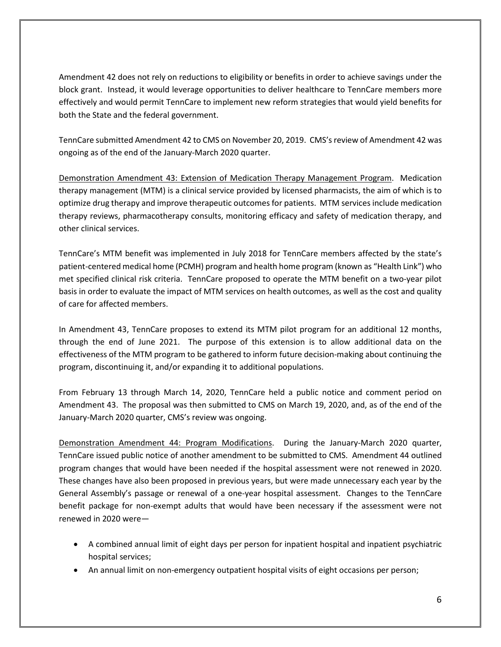Amendment 42 does not rely on reductions to eligibility or benefits in order to achieve savings under the block grant. Instead, it would leverage opportunities to deliver healthcare to TennCare members more effectively and would permit TennCare to implement new reform strategies that would yield benefits for both the State and the federal government.

TennCare submitted Amendment 42 to CMS on November 20, 2019. CMS's review of Amendment 42 was ongoing as of the end of the January-March 2020 quarter.

Demonstration Amendment 43: Extension of Medication Therapy Management Program. Medication therapy management (MTM) is a clinical service provided by licensed pharmacists, the aim of which is to optimize drug therapy and improve therapeutic outcomes for patients. MTM services include medication therapy reviews, pharmacotherapy consults, monitoring efficacy and safety of medication therapy, and other clinical services.

TennCare's MTM benefit was implemented in July 2018 for TennCare members affected by the state's patient-centered medical home (PCMH) program and health home program (known as "Health Link") who met specified clinical risk criteria. TennCare proposed to operate the MTM benefit on a two-year pilot basis in order to evaluate the impact of MTM services on health outcomes, as well as the cost and quality of care for affected members.

In Amendment 43, TennCare proposes to extend its MTM pilot program for an additional 12 months, through the end of June 2021. The purpose of this extension is to allow additional data on the effectiveness of the MTM program to be gathered to inform future decision-making about continuing the program, discontinuing it, and/or expanding it to additional populations.

From February 13 through March 14, 2020, TennCare held a public notice and comment period on Amendment 43. The proposal was then submitted to CMS on March 19, 2020, and, as of the end of the January-March 2020 quarter, CMS's review was ongoing.

Demonstration Amendment 44: Program Modifications. During the January-March 2020 quarter, TennCare issued public notice of another amendment to be submitted to CMS. Amendment 44 outlined program changes that would have been needed if the hospital assessment were not renewed in 2020. These changes have also been proposed in previous years, but were made unnecessary each year by the General Assembly's passage or renewal of a one-year hospital assessment. Changes to the TennCare benefit package for non-exempt adults that would have been necessary if the assessment were not renewed in 2020 were—

- A combined annual limit of eight days per person for inpatient hospital and inpatient psychiatric hospital services;
- An annual limit on non-emergency outpatient hospital visits of eight occasions per person;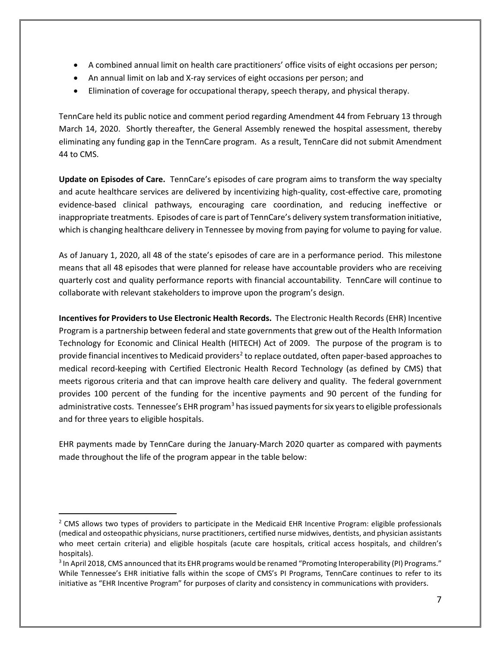- A combined annual limit on health care practitioners' office visits of eight occasions per person;
- An annual limit on lab and X-ray services of eight occasions per person; and
- Elimination of coverage for occupational therapy, speech therapy, and physical therapy.

TennCare held its public notice and comment period regarding Amendment 44 from February 13 through March 14, 2020. Shortly thereafter, the General Assembly renewed the hospital assessment, thereby eliminating any funding gap in the TennCare program. As a result, TennCare did not submit Amendment 44 to CMS.

**Update on Episodes of Care.** TennCare's episodes of care program aims to transform the way specialty and acute healthcare services are delivered by incentivizing high-quality, cost-effective care, promoting evidence-based clinical pathways, encouraging care coordination, and reducing ineffective or inappropriate treatments. Episodes of care is part of TennCare's delivery system transformation initiative, which is changing healthcare delivery in Tennessee by moving from paying for volume to paying for value.

As of January 1, 2020, all 48 of the state's episodes of care are in a performance period. This milestone means that all 48 episodes that were planned for release have accountable providers who are receiving quarterly cost and quality performance reports with financial accountability. TennCare will continue to collaborate with relevant stakeholders to improve upon the program's design.

**Incentives for Providers to Use Electronic Health Records.** The Electronic Health Records (EHR) Incentive Program is a partnership between federal and state governments that grew out of the Health Information Technology for Economic and Clinical Health (HITECH) Act of 2009. The purpose of the program is to provide financial incentives to Medicaid providers<sup>2</sup> to replace outdated, often paper-based approaches to medical record-keeping with Certified Electronic Health Record Technology (as defined by CMS) that meets rigorous criteria and that can improve health care delivery and quality. The federal government provides 100 percent of the funding for the incentive payments and 90 percent of the funding for administrative costs. Tennessee's EHR program<sup>[3](#page-6-1)</sup> has issued payments for six years to eligible professionals and for three years to eligible hospitals.

EHR payments made by TennCare during the January-March 2020 quarter as compared with payments made throughout the life of the program appear in the table below:

<span id="page-6-0"></span><sup>&</sup>lt;sup>2</sup> CMS allows two types of providers to participate in the Medicaid EHR Incentive Program: eligible professionals (medical and osteopathic physicians, nurse practitioners, certified nurse midwives, dentists, and physician assistants who meet certain criteria) and eligible hospitals (acute care hospitals, critical access hospitals, and children's hospitals).

<span id="page-6-1"></span><sup>3</sup> In April 2018, CMS announced that its EHR programs would be renamed "Promoting Interoperability (PI) Programs." While Tennessee's EHR initiative falls within the scope of CMS's PI Programs, TennCare continues to refer to its initiative as "EHR Incentive Program" for purposes of clarity and consistency in communications with providers.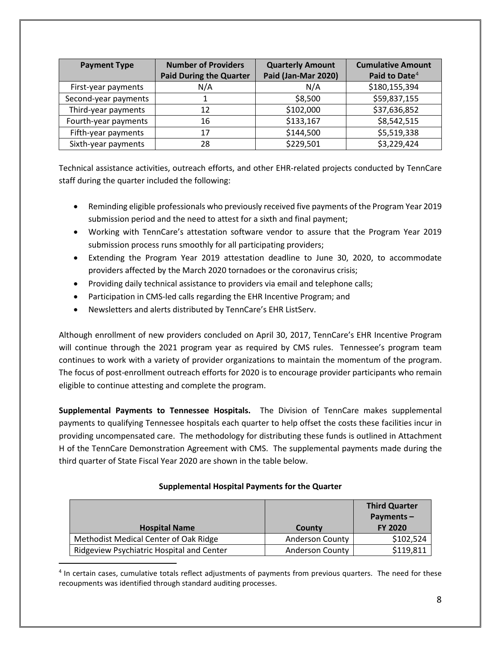| <b>Payment Type</b>  | <b>Number of Providers</b>     | <b>Quarterly Amount</b> | <b>Cumulative Amount</b>  |
|----------------------|--------------------------------|-------------------------|---------------------------|
|                      | <b>Paid During the Quarter</b> | Paid (Jan-Mar 2020)     | Paid to Date <sup>4</sup> |
| First-year payments  | N/A                            | N/A                     | \$180,155,394             |
| Second-year payments |                                | \$8,500                 | \$59,837,155              |
| Third-year payments  | 12                             | \$102,000               | \$37,636,852              |
| Fourth-year payments | 16                             | \$133,167               | \$8,542,515               |
| Fifth-year payments  | 17                             | \$144,500               | \$5,519,338               |
| Sixth-year payments  | 28                             | \$229,501               | \$3,229,424               |

Technical assistance activities, outreach efforts, and other EHR-related projects conducted by TennCare staff during the quarter included the following:

- Reminding eligible professionals who previously received five payments of the Program Year 2019 submission period and the need to attest for a sixth and final payment;
- Working with TennCare's attestation software vendor to assure that the Program Year 2019 submission process runs smoothly for all participating providers;
- Extending the Program Year 2019 attestation deadline to June 30, 2020, to accommodate providers affected by the March 2020 tornadoes or the coronavirus crisis;
- Providing daily technical assistance to providers via email and telephone calls;
- Participation in CMS-led calls regarding the EHR Incentive Program; and
- Newsletters and alerts distributed by TennCare's EHR ListServ.

Although enrollment of new providers concluded on April 30, 2017, TennCare's EHR Incentive Program will continue through the 2021 program year as required by CMS rules. Tennessee's program team continues to work with a variety of provider organizations to maintain the momentum of the program. The focus of post-enrollment outreach efforts for 2020 is to encourage provider participants who remain eligible to continue attesting and complete the program.

**Supplemental Payments to Tennessee Hospitals.** The Division of TennCare makes supplemental payments to qualifying Tennessee hospitals each quarter to help offset the costs these facilities incur in providing uncompensated care. The methodology for distributing these funds is outlined in Attachment H of the TennCare Demonstration Agreement with CMS. The supplemental payments made during the third quarter of State Fiscal Year 2020 are shown in the table below.

#### **Supplemental Hospital Payments for the Quarter**

|                                           |                        | <b>Third Quarter</b> |
|-------------------------------------------|------------------------|----------------------|
|                                           |                        | Payments $-$         |
| <b>Hospital Name</b>                      | County                 | <b>FY 2020</b>       |
| Methodist Medical Center of Oak Ridge     | <b>Anderson County</b> | \$102,524            |
| Ridgeview Psychiatric Hospital and Center | <b>Anderson County</b> | \$119,811            |

<span id="page-7-0"></span><sup>4</sup> In certain cases, cumulative totals reflect adjustments of payments from previous quarters. The need for these recoupments was identified through standard auditing processes.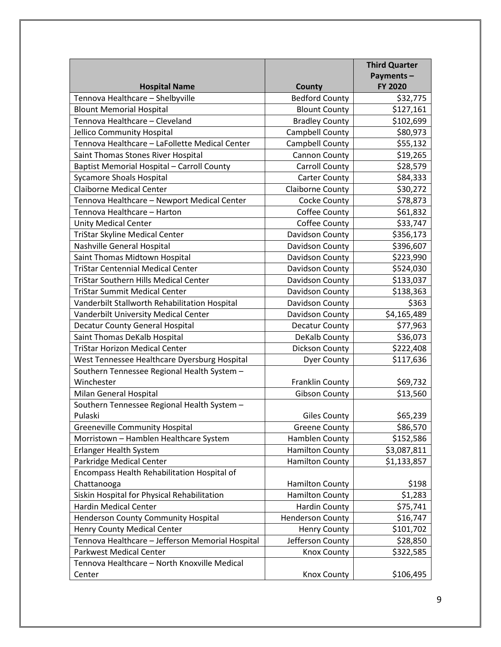|                                                  |                         | <b>Third Quarter</b> |
|--------------------------------------------------|-------------------------|----------------------|
|                                                  |                         | Payments-            |
| <b>Hospital Name</b>                             | <b>County</b>           | FY 2020              |
| Tennova Healthcare - Shelbyville                 | <b>Bedford County</b>   | \$32,775             |
| <b>Blount Memorial Hospital</b>                  | <b>Blount County</b>    | \$127,161            |
| Tennova Healthcare - Cleveland                   | <b>Bradley County</b>   | \$102,699            |
| Jellico Community Hospital                       | Campbell County         | \$80,973             |
| Tennova Healthcare - LaFollette Medical Center   | Campbell County         | \$55,132             |
| Saint Thomas Stones River Hospital               | Cannon County           | \$19,265             |
| Baptist Memorial Hospital - Carroll County       | <b>Carroll County</b>   | \$28,579             |
| <b>Sycamore Shoals Hospital</b>                  | <b>Carter County</b>    | \$84,333             |
| <b>Claiborne Medical Center</b>                  | <b>Claiborne County</b> | \$30,272             |
| Tennova Healthcare - Newport Medical Center      | Cocke County            | \$78,873             |
| Tennova Healthcare - Harton                      | Coffee County           | \$61,832             |
| <b>Unity Medical Center</b>                      | Coffee County           | \$33,747             |
| <b>TriStar Skyline Medical Center</b>            | Davidson County         | \$356,173            |
| Nashville General Hospital                       | Davidson County         | \$396,607            |
| Saint Thomas Midtown Hospital                    | Davidson County         | \$223,990            |
| <b>TriStar Centennial Medical Center</b>         | Davidson County         | \$524,030            |
| <b>TriStar Southern Hills Medical Center</b>     | Davidson County         | \$133,037            |
| <b>TriStar Summit Medical Center</b>             | Davidson County         | \$138,363            |
| Vanderbilt Stallworth Rehabilitation Hospital    | Davidson County         | \$363                |
| Vanderbilt University Medical Center             | Davidson County         | \$4,165,489          |
| Decatur County General Hospital                  | Decatur County          | \$77,963             |
| Saint Thomas DeKalb Hospital                     | DeKalb County           | \$36,073             |
| <b>TriStar Horizon Medical Center</b>            | Dickson County          | \$222,408            |
| West Tennessee Healthcare Dyersburg Hospital     | <b>Dyer County</b>      | \$117,636            |
| Southern Tennessee Regional Health System -      |                         |                      |
| Winchester                                       | <b>Franklin County</b>  | \$69,732             |
| Milan General Hospital                           | <b>Gibson County</b>    | \$13,560             |
| Southern Tennessee Regional Health System -      |                         |                      |
| Pulaski                                          | <b>Giles County</b>     | \$65,239             |
| <b>Greeneville Community Hospital</b>            | <b>Greene County</b>    | \$86,570             |
| Morristown - Hamblen Healthcare System           | Hamblen County          | \$152,586            |
| <b>Erlanger Health System</b>                    | <b>Hamilton County</b>  | \$3,087,811          |
| Parkridge Medical Center                         | <b>Hamilton County</b>  | \$1,133,857          |
| Encompass Health Rehabilitation Hospital of      |                         |                      |
| Chattanooga                                      | <b>Hamilton County</b>  | \$198                |
| Siskin Hospital for Physical Rehabilitation      | <b>Hamilton County</b>  | \$1,283              |
| <b>Hardin Medical Center</b>                     | <b>Hardin County</b>    | \$75,741             |
| <b>Henderson County Community Hospital</b>       | <b>Henderson County</b> | \$16,747             |
| <b>Henry County Medical Center</b>               | <b>Henry County</b>     | \$101,702            |
| Tennova Healthcare - Jefferson Memorial Hospital | Jefferson County        | \$28,850             |
| <b>Parkwest Medical Center</b>                   | <b>Knox County</b>      | \$322,585            |
| Tennova Healthcare - North Knoxville Medical     |                         |                      |
| Center                                           | <b>Knox County</b>      | \$106,495            |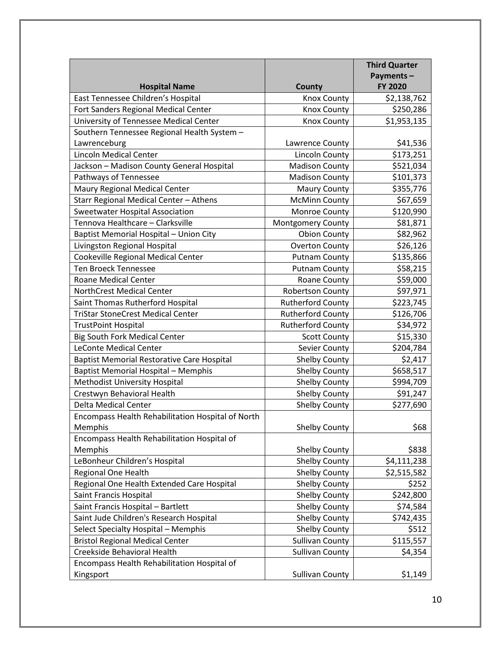|                                                                              |                                                | <b>Third Quarter</b> |
|------------------------------------------------------------------------------|------------------------------------------------|----------------------|
|                                                                              |                                                | Payments-            |
| <b>Hospital Name</b>                                                         | <b>County</b>                                  | FY 2020              |
| East Tennessee Children's Hospital                                           | <b>Knox County</b>                             | \$2,138,762          |
| Fort Sanders Regional Medical Center                                         | <b>Knox County</b>                             | \$250,286            |
| University of Tennessee Medical Center                                       | <b>Knox County</b>                             | \$1,953,135          |
| Southern Tennessee Regional Health System -                                  |                                                |                      |
| Lawrenceburg                                                                 | Lawrence County                                | \$41,536             |
| <b>Lincoln Medical Center</b>                                                | <b>Lincoln County</b>                          | \$173,251            |
| Jackson - Madison County General Hospital                                    | <b>Madison County</b>                          | \$521,034            |
| Pathways of Tennessee                                                        | <b>Madison County</b>                          | \$101,373            |
| Maury Regional Medical Center                                                | <b>Maury County</b>                            | \$355,776            |
| Starr Regional Medical Center - Athens                                       | <b>McMinn County</b>                           | \$67,659             |
| Sweetwater Hospital Association                                              | Monroe County                                  | \$120,990            |
| Tennova Healthcare - Clarksville                                             | Montgomery County                              | \$81,871             |
| Baptist Memorial Hospital - Union City                                       | <b>Obion County</b>                            | \$82,962             |
| Livingston Regional Hospital                                                 | <b>Overton County</b>                          | \$26,126             |
| Cookeville Regional Medical Center                                           | <b>Putnam County</b>                           | \$135,866            |
| <b>Ten Broeck Tennessee</b>                                                  | <b>Putnam County</b>                           | \$58,215             |
| Roane Medical Center                                                         | Roane County                                   | \$59,000             |
| NorthCrest Medical Center                                                    | <b>Robertson County</b>                        | \$97,971             |
| Saint Thomas Rutherford Hospital                                             | <b>Rutherford County</b>                       | \$223,745            |
| <b>TriStar StoneCrest Medical Center</b>                                     | <b>Rutherford County</b>                       | \$126,706            |
| <b>TrustPoint Hospital</b>                                                   | <b>Rutherford County</b>                       | \$34,972             |
| <b>Big South Fork Medical Center</b>                                         | <b>Scott County</b>                            | \$15,330             |
| <b>LeConte Medical Center</b>                                                | Sevier County                                  | \$204,784            |
| <b>Baptist Memorial Restorative Care Hospital</b>                            | <b>Shelby County</b>                           | \$2,417              |
| <b>Baptist Memorial Hospital - Memphis</b>                                   | Shelby County                                  | \$658,517            |
| Methodist University Hospital                                                | <b>Shelby County</b>                           | \$994,709            |
| Crestwyn Behavioral Health                                                   | <b>Shelby County</b>                           | \$91,247             |
| Delta Medical Center                                                         | <b>Shelby County</b>                           | \$277,690            |
| Encompass Health Rehabilitation Hospital of North                            |                                                |                      |
| Memphis                                                                      | <b>Shelby County</b>                           | \$68                 |
| Encompass Health Rehabilitation Hospital of<br>Memphis                       | <b>Shelby County</b>                           | \$838                |
| LeBonheur Children's Hospital                                                | <b>Shelby County</b>                           | \$4,111,238          |
| Regional One Health                                                          | <b>Shelby County</b>                           | \$2,515,582          |
| Regional One Health Extended Care Hospital                                   | <b>Shelby County</b>                           | \$252                |
| Saint Francis Hospital                                                       | <b>Shelby County</b>                           | \$242,800            |
|                                                                              |                                                | \$74,584             |
| Saint Francis Hospital - Bartlett<br>Saint Jude Children's Research Hospital | <b>Shelby County</b><br><b>Shelby County</b>   | \$742,435            |
|                                                                              |                                                | \$512                |
| Select Specialty Hospital - Memphis                                          | <b>Shelby County</b><br><b>Sullivan County</b> |                      |
| <b>Bristol Regional Medical Center</b>                                       |                                                | \$115,557            |
| Creekside Behavioral Health                                                  | <b>Sullivan County</b>                         | \$4,354              |
| Encompass Health Rehabilitation Hospital of                                  |                                                |                      |
| Kingsport                                                                    | <b>Sullivan County</b>                         | \$1,149              |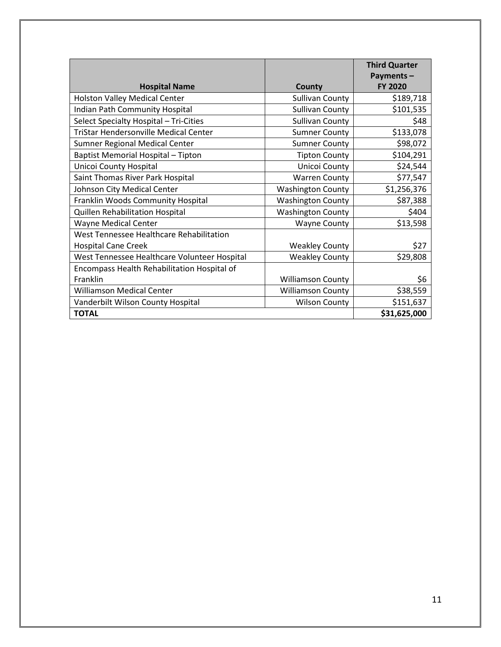|                                              |                          | <b>Third Quarter</b><br>Payments- |
|----------------------------------------------|--------------------------|-----------------------------------|
| <b>Hospital Name</b>                         | County                   | <b>FY 2020</b>                    |
| <b>Holston Valley Medical Center</b>         | <b>Sullivan County</b>   | \$189,718                         |
| Indian Path Community Hospital               | <b>Sullivan County</b>   | \$101,535                         |
| Select Specialty Hospital - Tri-Cities       | <b>Sullivan County</b>   | \$48                              |
| <b>TriStar Hendersonville Medical Center</b> | <b>Sumner County</b>     | \$133,078                         |
| Sumner Regional Medical Center               | <b>Sumner County</b>     | \$98,072                          |
| Baptist Memorial Hospital - Tipton           | <b>Tipton County</b>     | \$104,291                         |
| Unicoi County Hospital                       | Unicoi County            | \$24,544                          |
| Saint Thomas River Park Hospital             | <b>Warren County</b>     | \$77,547                          |
| Johnson City Medical Center                  | <b>Washington County</b> | \$1,256,376                       |
| Franklin Woods Community Hospital            | <b>Washington County</b> | \$87,388                          |
| Quillen Rehabilitation Hospital              | <b>Washington County</b> | \$404                             |
| <b>Wayne Medical Center</b>                  | <b>Wayne County</b>      | \$13,598                          |
| West Tennessee Healthcare Rehabilitation     |                          |                                   |
| <b>Hospital Cane Creek</b>                   | <b>Weakley County</b>    | \$27                              |
| West Tennessee Healthcare Volunteer Hospital | <b>Weakley County</b>    | \$29,808                          |
| Encompass Health Rehabilitation Hospital of  |                          |                                   |
| Franklin                                     | <b>Williamson County</b> | \$6                               |
| <b>Williamson Medical Center</b>             | <b>Williamson County</b> | \$38,559                          |
| Vanderbilt Wilson County Hospital            | <b>Wilson County</b>     | \$151,637                         |
| <b>TOTAL</b>                                 |                          | \$31,625,000                      |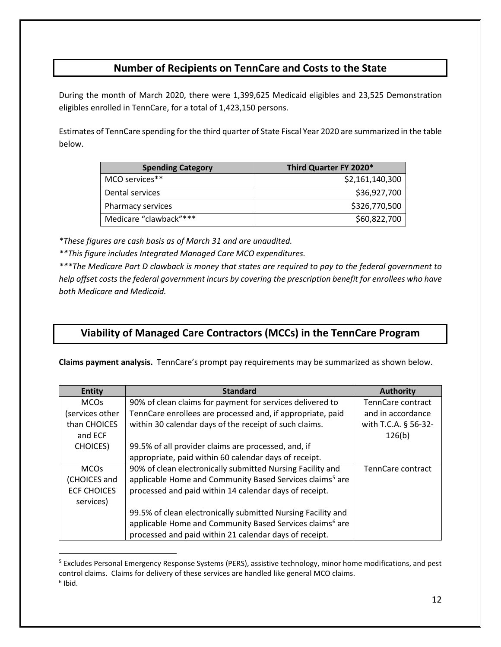### **Number of Recipients on TennCare and Costs to the State**

During the month of March 2020, there were 1,399,625 Medicaid eligibles and 23,525 Demonstration eligibles enrolled in TennCare, for a total of 1,423,150 persons.

Estimates of TennCare spending for the third quarter of State Fiscal Year 2020 are summarized in the table below.

| <b>Spending Category</b> | Third Quarter FY 2020* |
|--------------------------|------------------------|
| MCO services**           | \$2,161,140,300        |
| Dental services          | \$36,927,700           |
| Pharmacy services        | \$326,770,500          |
| Medicare "clawback"***   | \$60,822,700           |

*\*These figures are cash basis as of March 31 and are unaudited.*

*\*\*This figure includes Integrated Managed Care MCO expenditures.*

*\*\*\*The Medicare Part D clawback is money that states are required to pay to the federal government to help offset costs the federal government incurs by covering the prescription benefit for enrollees who have both Medicare and Medicaid.*

## **Viability of Managed Care Contractors (MCCs) in the TennCare Program**

**Claims payment analysis.** TennCare's prompt pay requirements may be summarized as shown below.

| <b>Entity</b>      | <b>Standard</b>                                                      | <b>Authority</b>     |
|--------------------|----------------------------------------------------------------------|----------------------|
| <b>MCOs</b>        | 90% of clean claims for payment for services delivered to            | TennCare contract    |
| services other)    | TennCare enrollees are processed and, if appropriate, paid           | and in accordance    |
| than CHOICES       | within 30 calendar days of the receipt of such claims.               | with T.C.A. § 56-32- |
| and ECF            |                                                                      | 126(b)               |
| <b>CHOICES</b> )   | 99.5% of all provider claims are processed, and, if                  |                      |
|                    | appropriate, paid within 60 calendar days of receipt.                |                      |
| <b>MCOs</b>        | 90% of clean electronically submitted Nursing Facility and           | TennCare contract    |
| (CHOICES and       | applicable Home and Community Based Services claims <sup>5</sup> are |                      |
| <b>ECF CHOICES</b> | processed and paid within 14 calendar days of receipt.               |                      |
| services)          |                                                                      |                      |
|                    | 99.5% of clean electronically submitted Nursing Facility and         |                      |
|                    | applicable Home and Community Based Services claims <sup>6</sup> are |                      |
|                    | processed and paid within 21 calendar days of receipt.               |                      |

<span id="page-11-1"></span><span id="page-11-0"></span><sup>5</sup> Excludes Personal Emergency Response Systems (PERS), assistive technology, minor home modifications, and pest control claims. Claims for delivery of these services are handled like general MCO claims.  $6$  Ibid.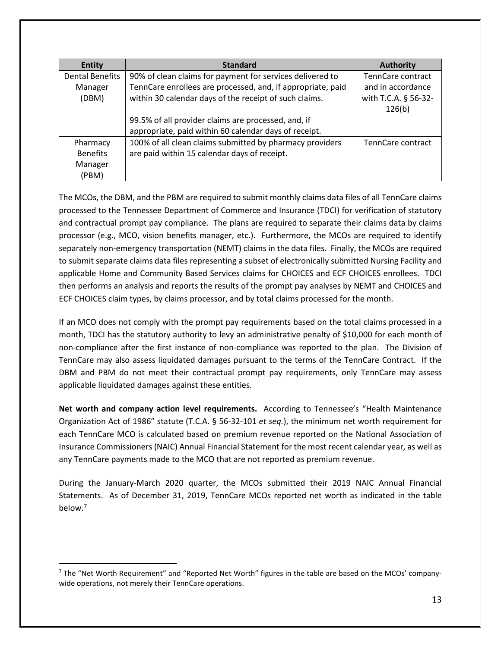| <b>Entity</b>          | <b>Standard</b>                                             | <b>Authority</b>     |
|------------------------|-------------------------------------------------------------|----------------------|
| <b>Dental Benefits</b> | 90% of clean claims for payment for services delivered to   | TennCare contract    |
| Manager                | TennCare enrollees are processed, and, if appropriate, paid | and in accordance    |
| (DBM)                  | within 30 calendar days of the receipt of such claims.      | with T.C.A. § 56-32- |
|                        |                                                             | 126(b)               |
|                        | 99.5% of all provider claims are processed, and, if         |                      |
|                        | appropriate, paid within 60 calendar days of receipt.       |                      |
| Pharmacy               | 100% of all clean claims submitted by pharmacy providers    | TennCare contract    |
| <b>Benefits</b>        | are paid within 15 calendar days of receipt.                |                      |
| Manager                |                                                             |                      |
| (PBM)                  |                                                             |                      |

The MCOs, the DBM, and the PBM are required to submit monthly claims data files of all TennCare claims processed to the Tennessee Department of Commerce and Insurance (TDCI) for verification of statutory and contractual prompt pay compliance. The plans are required to separate their claims data by claims processor (e.g., MCO, vision benefits manager, etc.). Furthermore, the MCOs are required to identify separately non-emergency transportation (NEMT) claims in the data files. Finally, the MCOs are required to submit separate claims data files representing a subset of electronically submitted Nursing Facility and applicable Home and Community Based Services claims for CHOICES and ECF CHOICES enrollees. TDCI then performs an analysis and reports the results of the prompt pay analyses by NEMT and CHOICES and ECF CHOICES claim types, by claims processor, and by total claims processed for the month.

If an MCO does not comply with the prompt pay requirements based on the total claims processed in a month, TDCI has the statutory authority to levy an administrative penalty of \$10,000 for each month of non-compliance after the first instance of non-compliance was reported to the plan. The Division of TennCare may also assess liquidated damages pursuant to the terms of the TennCare Contract. If the DBM and PBM do not meet their contractual prompt pay requirements, only TennCare may assess applicable liquidated damages against these entities.

**Net worth and company action level requirements.** According to Tennessee's "Health Maintenance Organization Act of 1986" statute (T.C.A. § 56-32-101 *et seq.*), the minimum net worth requirement for each TennCare MCO is calculated based on premium revenue reported on the National Association of Insurance Commissioners (NAIC) Annual Financial Statement for the most recent calendar year, as well as any TennCare payments made to the MCO that are not reported as premium revenue.

During the January-March 2020 quarter, the MCOs submitted their 2019 NAIC Annual Financial Statements. As of December 31, 2019, TennCare MCOs reported net worth as indicated in the table below.<sup>[7](#page-12-0)</sup>

<span id="page-12-0"></span> $<sup>7</sup>$  The "Net Worth Requirement" and "Reported Net Worth" figures in the table are based on the MCOs' company-</sup> wide operations, not merely their TennCare operations.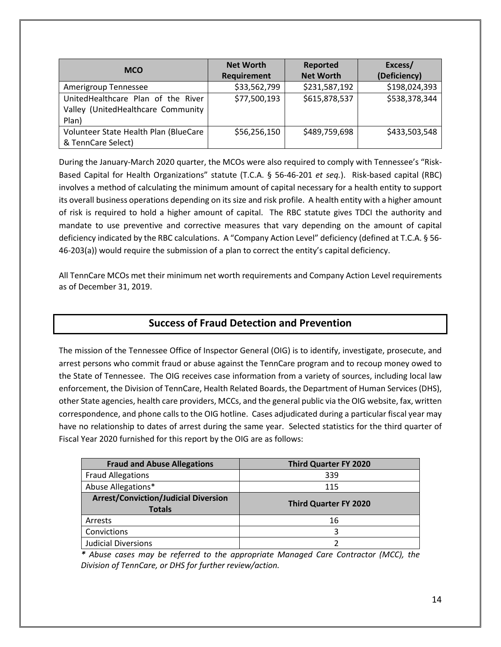| <b>MCO</b>                            | <b>Net Worth</b> | <b>Reported</b>  | Excess/       |
|---------------------------------------|------------------|------------------|---------------|
|                                       | Requirement      | <b>Net Worth</b> | (Deficiency)  |
| Amerigroup Tennessee                  | \$33,562,799     | \$231,587,192    | \$198,024,393 |
| UnitedHealthcare Plan of the River    | \$77,500,193     | \$615,878,537    | \$538,378,344 |
| Valley (UnitedHealthcare Community    |                  |                  |               |
| Plan)                                 |                  |                  |               |
| Volunteer State Health Plan (BlueCare | \$56,256,150     | \$489,759,698    | \$433,503,548 |
| & TennCare Select)                    |                  |                  |               |

During the January-March 2020 quarter, the MCOs were also required to comply with Tennessee's "Risk-Based Capital for Health Organizations" statute (T.C.A. § 56-46-201 *et seq.*). Risk-based capital (RBC) involves a method of calculating the minimum amount of capital necessary for a health entity to support its overall business operations depending on its size and risk profile. A health entity with a higher amount of risk is required to hold a higher amount of capital. The RBC statute gives TDCI the authority and mandate to use preventive and corrective measures that vary depending on the amount of capital deficiency indicated by the RBC calculations. A "Company Action Level" deficiency (defined at T.C.A. § 56- 46-203(a)) would require the submission of a plan to correct the entity's capital deficiency.

All TennCare MCOs met their minimum net worth requirements and Company Action Level requirements as of December 31, 2019.

#### **Success of Fraud Detection and Prevention**

The mission of the Tennessee Office of Inspector General (OIG) is to identify, investigate, prosecute, and arrest persons who commit fraud or abuse against the TennCare program and to recoup money owed to the State of Tennessee.The OIG receives case information from a variety of sources, including local law enforcement, the Division of TennCare, Health Related Boards, the Department of Human Services (DHS), other State agencies, health care providers, MCCs, and the general public via the OIG website, fax, written correspondence, and phone calls to the OIG hotline. Cases adjudicated during a particular fiscal year may have no relationship to dates of arrest during the same year. Selected statistics for the third quarter of Fiscal Year 2020 furnished for this report by the OIG are as follows:

| <b>Fraud and Abuse Allegations</b>                           | <b>Third Quarter FY 2020</b> |
|--------------------------------------------------------------|------------------------------|
| <b>Fraud Allegations</b>                                     | 339                          |
| Abuse Allegations*                                           | 115                          |
| <b>Arrest/Conviction/Judicial Diversion</b><br><b>Totals</b> | <b>Third Quarter FY 2020</b> |
| Arrests                                                      | 16                           |
| Convictions                                                  | 3                            |
| <b>Judicial Diversions</b>                                   |                              |

*\* Abuse cases may be referred to the appropriate Managed Care Contractor (MCC), the Division of TennCare, or DHS for further review/action.*